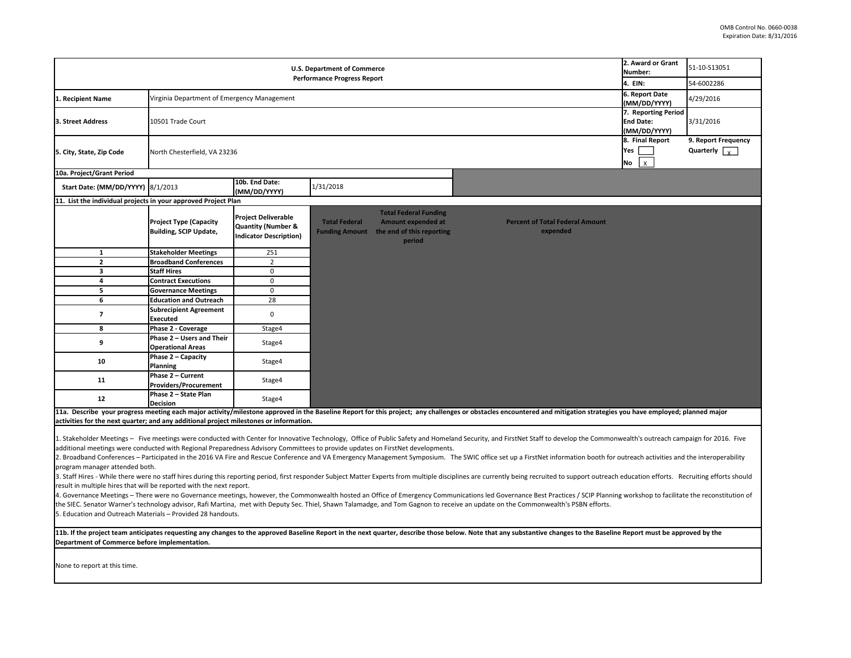|                                                                                                                                                                                                                                                                                                                                                                                                                                                                                                                                                                                                                                                                                                                                                                                                                                                                                                                                                                                                                                                                                                                                                                                                                                                                                                                                                                                                                                    | 2. Award or Grant<br>Number:<br>4. EIN:                                      | 51-10-S13051<br>54-6002286                                                                   |                                                                                                                                                   |                                                                                                                                                                                                                        |  |           |  |
|------------------------------------------------------------------------------------------------------------------------------------------------------------------------------------------------------------------------------------------------------------------------------------------------------------------------------------------------------------------------------------------------------------------------------------------------------------------------------------------------------------------------------------------------------------------------------------------------------------------------------------------------------------------------------------------------------------------------------------------------------------------------------------------------------------------------------------------------------------------------------------------------------------------------------------------------------------------------------------------------------------------------------------------------------------------------------------------------------------------------------------------------------------------------------------------------------------------------------------------------------------------------------------------------------------------------------------------------------------------------------------------------------------------------------------|------------------------------------------------------------------------------|----------------------------------------------------------------------------------------------|---------------------------------------------------------------------------------------------------------------------------------------------------|------------------------------------------------------------------------------------------------------------------------------------------------------------------------------------------------------------------------|--|-----------|--|
| 1. Recipient Name                                                                                                                                                                                                                                                                                                                                                                                                                                                                                                                                                                                                                                                                                                                                                                                                                                                                                                                                                                                                                                                                                                                                                                                                                                                                                                                                                                                                                  | Virginia Department of Emergency Management                                  | 6. Report Date<br>(MM/DD/YYYY)                                                               | 4/29/2016                                                                                                                                         |                                                                                                                                                                                                                        |  |           |  |
| 3. Street Address                                                                                                                                                                                                                                                                                                                                                                                                                                                                                                                                                                                                                                                                                                                                                                                                                                                                                                                                                                                                                                                                                                                                                                                                                                                                                                                                                                                                                  | 7. Reporting Period<br>10501 Trade Court<br><b>End Date:</b><br>(MM/DD/YYYY) |                                                                                              |                                                                                                                                                   |                                                                                                                                                                                                                        |  | 3/31/2016 |  |
| 5. City, State, Zip Code                                                                                                                                                                                                                                                                                                                                                                                                                                                                                                                                                                                                                                                                                                                                                                                                                                                                                                                                                                                                                                                                                                                                                                                                                                                                                                                                                                                                           | North Chesterfield, VA 23236                                                 | 8. Final Report<br>Yes<br>$\mathbf{x}$<br>No                                                 | 9. Report Frequency<br>Quarterly $\sqrt{x}$                                                                                                       |                                                                                                                                                                                                                        |  |           |  |
| 10a. Project/Grant Period                                                                                                                                                                                                                                                                                                                                                                                                                                                                                                                                                                                                                                                                                                                                                                                                                                                                                                                                                                                                                                                                                                                                                                                                                                                                                                                                                                                                          |                                                                              |                                                                                              |                                                                                                                                                   |                                                                                                                                                                                                                        |  |           |  |
| Start Date: (MM/DD/YYYY) 8/1/2013                                                                                                                                                                                                                                                                                                                                                                                                                                                                                                                                                                                                                                                                                                                                                                                                                                                                                                                                                                                                                                                                                                                                                                                                                                                                                                                                                                                                  |                                                                              | 10b. End Date:<br>(MM/DD/YYYY)                                                               | 1/31/2018                                                                                                                                         |                                                                                                                                                                                                                        |  |           |  |
| 11. List the individual projects in your approved Project Plan                                                                                                                                                                                                                                                                                                                                                                                                                                                                                                                                                                                                                                                                                                                                                                                                                                                                                                                                                                                                                                                                                                                                                                                                                                                                                                                                                                     |                                                                              |                                                                                              |                                                                                                                                                   |                                                                                                                                                                                                                        |  |           |  |
|                                                                                                                                                                                                                                                                                                                                                                                                                                                                                                                                                                                                                                                                                                                                                                                                                                                                                                                                                                                                                                                                                                                                                                                                                                                                                                                                                                                                                                    | <b>Project Type (Capacity</b><br>Building, SCIP Update,                      | <b>Project Deliverable</b><br><b>Quantity (Number &amp;</b><br><b>Indicator Description)</b> | <b>Total Federal Funding</b><br><b>Total Federal</b><br><b>Amount expended at</b><br><b>Funding Amount</b><br>the end of this reporting<br>period | <b>Percent of Total Federal Amount</b><br>expended                                                                                                                                                                     |  |           |  |
| $\mathbf{1}$                                                                                                                                                                                                                                                                                                                                                                                                                                                                                                                                                                                                                                                                                                                                                                                                                                                                                                                                                                                                                                                                                                                                                                                                                                                                                                                                                                                                                       | <b>Stakeholder Meetings</b>                                                  | 251                                                                                          |                                                                                                                                                   |                                                                                                                                                                                                                        |  |           |  |
| $\mathbf{2}$                                                                                                                                                                                                                                                                                                                                                                                                                                                                                                                                                                                                                                                                                                                                                                                                                                                                                                                                                                                                                                                                                                                                                                                                                                                                                                                                                                                                                       | <b>Broadband Conferences</b>                                                 | $\overline{2}$                                                                               |                                                                                                                                                   |                                                                                                                                                                                                                        |  |           |  |
| $\overline{\mathbf{3}}$                                                                                                                                                                                                                                                                                                                                                                                                                                                                                                                                                                                                                                                                                                                                                                                                                                                                                                                                                                                                                                                                                                                                                                                                                                                                                                                                                                                                            | <b>Staff Hires</b>                                                           | $\mathbf 0$                                                                                  |                                                                                                                                                   |                                                                                                                                                                                                                        |  |           |  |
| 4                                                                                                                                                                                                                                                                                                                                                                                                                                                                                                                                                                                                                                                                                                                                                                                                                                                                                                                                                                                                                                                                                                                                                                                                                                                                                                                                                                                                                                  | <b>Contract Executions</b>                                                   | $\mathbf 0$                                                                                  |                                                                                                                                                   |                                                                                                                                                                                                                        |  |           |  |
| 5                                                                                                                                                                                                                                                                                                                                                                                                                                                                                                                                                                                                                                                                                                                                                                                                                                                                                                                                                                                                                                                                                                                                                                                                                                                                                                                                                                                                                                  | <b>Governance Meetings</b>                                                   | $\mathbf 0$                                                                                  |                                                                                                                                                   |                                                                                                                                                                                                                        |  |           |  |
| 6                                                                                                                                                                                                                                                                                                                                                                                                                                                                                                                                                                                                                                                                                                                                                                                                                                                                                                                                                                                                                                                                                                                                                                                                                                                                                                                                                                                                                                  | <b>Education and Outreach</b>                                                | 28                                                                                           |                                                                                                                                                   |                                                                                                                                                                                                                        |  |           |  |
| $\overline{\mathbf{z}}$                                                                                                                                                                                                                                                                                                                                                                                                                                                                                                                                                                                                                                                                                                                                                                                                                                                                                                                                                                                                                                                                                                                                                                                                                                                                                                                                                                                                            | <b>Subrecipient Agreement</b><br><b>Executed</b>                             | $\mathbf 0$                                                                                  |                                                                                                                                                   |                                                                                                                                                                                                                        |  |           |  |
| 8                                                                                                                                                                                                                                                                                                                                                                                                                                                                                                                                                                                                                                                                                                                                                                                                                                                                                                                                                                                                                                                                                                                                                                                                                                                                                                                                                                                                                                  | Phase 2 - Coverage                                                           | Stage4                                                                                       |                                                                                                                                                   |                                                                                                                                                                                                                        |  |           |  |
| 9                                                                                                                                                                                                                                                                                                                                                                                                                                                                                                                                                                                                                                                                                                                                                                                                                                                                                                                                                                                                                                                                                                                                                                                                                                                                                                                                                                                                                                  | Phase 2 - Users and Their<br><b>Operational Areas</b>                        | Stage4                                                                                       |                                                                                                                                                   |                                                                                                                                                                                                                        |  |           |  |
| 10                                                                                                                                                                                                                                                                                                                                                                                                                                                                                                                                                                                                                                                                                                                                                                                                                                                                                                                                                                                                                                                                                                                                                                                                                                                                                                                                                                                                                                 | Phase 2 - Capacity<br>Planning                                               | Stage4                                                                                       |                                                                                                                                                   |                                                                                                                                                                                                                        |  |           |  |
| 11                                                                                                                                                                                                                                                                                                                                                                                                                                                                                                                                                                                                                                                                                                                                                                                                                                                                                                                                                                                                                                                                                                                                                                                                                                                                                                                                                                                                                                 | Phase 2 - Current<br><b>Providers/Procurement</b>                            | Stage4                                                                                       |                                                                                                                                                   |                                                                                                                                                                                                                        |  |           |  |
| 12                                                                                                                                                                                                                                                                                                                                                                                                                                                                                                                                                                                                                                                                                                                                                                                                                                                                                                                                                                                                                                                                                                                                                                                                                                                                                                                                                                                                                                 | Phase 2 - State Plan<br><b>Decision</b>                                      | Stage4                                                                                       |                                                                                                                                                   |                                                                                                                                                                                                                        |  |           |  |
|                                                                                                                                                                                                                                                                                                                                                                                                                                                                                                                                                                                                                                                                                                                                                                                                                                                                                                                                                                                                                                                                                                                                                                                                                                                                                                                                                                                                                                    |                                                                              |                                                                                              |                                                                                                                                                   | 11a. Describe your progress meeting each major activity/milestone approved in the Baseline Report for this project; any challenges or obstacles encountered and mitigation strategies you have employed; planned major |  |           |  |
| activities for the next quarter; and any additional project milestones or information.                                                                                                                                                                                                                                                                                                                                                                                                                                                                                                                                                                                                                                                                                                                                                                                                                                                                                                                                                                                                                                                                                                                                                                                                                                                                                                                                             |                                                                              |                                                                                              |                                                                                                                                                   |                                                                                                                                                                                                                        |  |           |  |
| 1. Stakeholder Meetings - Five meetings were conducted with Center for Innovative Technology, Office of Public Safety and Homeland Security, and FirstNet Staff to develop the Commonwealth's outreach campaign for 2016. Five<br>additional meetings were conducted with Regional Preparedness Advisory Committees to provide updates on FirstNet developments.<br>2. Broadband Conferences - Participated in the 2016 VA Fire and Rescue Conference and VA Emergency Management Symposium. The SWIC office set up a FirstNet information booth for outreach activities and the interoperability<br>program manager attended both.<br>3. Staff Hires - While there were no staff hires during this reporting period, first responder Subject Matter Experts from multiple disciplines are currently being recruited to support outreach education efforts. Recruitin<br>result in multiple hires that will be reported with the next report.<br>4. Governance Meetings - There were no Governance meetings, however, the Commonwealth hosted an Office of Emergency Communications led Governance Best Practices / SCIP Planning workshop to facilitate the reconstitution of<br>the SIEC. Senator Warner's technology advisor, Rafi Martina, met with Deputy Sec. Thiel, Shawn Talamadge, and Tom Gagnon to receive an update on the Commonwealth's PSBN efforts.<br>5. Education and Outreach Materials - Provided 28 handouts. |                                                                              |                                                                                              |                                                                                                                                                   |                                                                                                                                                                                                                        |  |           |  |
| 11b. If the project team anticipates requesting any changes to the approved Baseline Report in the next quarter, describe those below. Note that any substantive changes to the Baseline Report must be approved by the<br>Department of Commerce before implementation.                                                                                                                                                                                                                                                                                                                                                                                                                                                                                                                                                                                                                                                                                                                                                                                                                                                                                                                                                                                                                                                                                                                                                           |                                                                              |                                                                                              |                                                                                                                                                   |                                                                                                                                                                                                                        |  |           |  |
| None to report at this time.                                                                                                                                                                                                                                                                                                                                                                                                                                                                                                                                                                                                                                                                                                                                                                                                                                                                                                                                                                                                                                                                                                                                                                                                                                                                                                                                                                                                       |                                                                              |                                                                                              |                                                                                                                                                   |                                                                                                                                                                                                                        |  |           |  |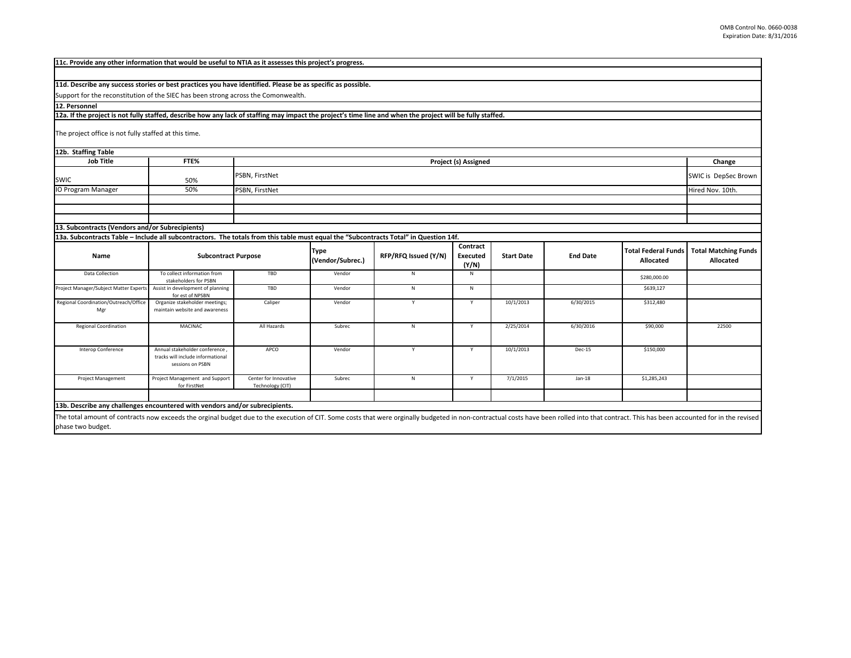| 11c. Provide any other information that would be useful to NTIA as it assesses this project's progress.                                                    |                                                                                         |                                           |                                 |                      |                               |                   |                 |                                         |                                          |
|------------------------------------------------------------------------------------------------------------------------------------------------------------|-----------------------------------------------------------------------------------------|-------------------------------------------|---------------------------------|----------------------|-------------------------------|-------------------|-----------------|-----------------------------------------|------------------------------------------|
|                                                                                                                                                            |                                                                                         |                                           |                                 |                      |                               |                   |                 |                                         |                                          |
| 11d. Describe any success stories or best practices you have identified. Please be as specific as possible.                                                |                                                                                         |                                           |                                 |                      |                               |                   |                 |                                         |                                          |
| Support for the reconstitution of the SIEC has been strong across the Comonwealth.                                                                         |                                                                                         |                                           |                                 |                      |                               |                   |                 |                                         |                                          |
| 12. Personnel                                                                                                                                              |                                                                                         |                                           |                                 |                      |                               |                   |                 |                                         |                                          |
| 12a. If the project is not fully staffed, describe how any lack of staffing may impact the project's time line and when the project will be fully staffed. |                                                                                         |                                           |                                 |                      |                               |                   |                 |                                         |                                          |
| The project office is not fully staffed at this time.                                                                                                      |                                                                                         |                                           |                                 |                      |                               |                   |                 |                                         |                                          |
| 12b. Staffing Table                                                                                                                                        |                                                                                         |                                           |                                 |                      |                               |                   |                 |                                         |                                          |
| <b>Job Title</b>                                                                                                                                           | FTE%                                                                                    |                                           |                                 |                      | Project (s) Assigned          |                   |                 |                                         | Change                                   |
| <b>SWIC</b>                                                                                                                                                | 50%                                                                                     | PSBN, FirstNet                            | SWIC is DepSec Brown            |                      |                               |                   |                 |                                         |                                          |
| <b>IO Program Manager</b>                                                                                                                                  | 50%                                                                                     | PSBN, FirstNet                            |                                 |                      |                               |                   |                 | Hired Nov. 10th.                        |                                          |
|                                                                                                                                                            |                                                                                         |                                           |                                 |                      |                               |                   |                 |                                         |                                          |
|                                                                                                                                                            |                                                                                         |                                           |                                 |                      |                               |                   |                 |                                         |                                          |
|                                                                                                                                                            |                                                                                         |                                           |                                 |                      |                               |                   |                 |                                         |                                          |
| 13. Subcontracts (Vendors and/or Subrecipients)                                                                                                            |                                                                                         |                                           |                                 |                      |                               |                   |                 |                                         |                                          |
| 13a. Subcontracts Table - Include all subcontractors. The totals from this table must equal the "Subcontracts Total" in Question 14f.                      |                                                                                         |                                           |                                 |                      |                               |                   |                 |                                         |                                          |
| Name                                                                                                                                                       | <b>Subcontract Purpose</b>                                                              |                                           | <b>Type</b><br>(Vendor/Subrec.) | RFP/RFQ Issued (Y/N) | Contract<br>Executed<br>(Y/N) | <b>Start Date</b> | <b>End Date</b> | <b>Total Federal Funds</b><br>Allocated | <b>Total Matching Funds</b><br>Allocated |
| Data Collection                                                                                                                                            | To collect information from<br>stakeholders for PSBN                                    | TBD                                       | Vendor                          | N                    | N                             |                   |                 | \$280,000.00                            |                                          |
| Project Manager/Subject Matter Experts                                                                                                                     | Assist in development of planning<br>for est of NPSBN                                   | TBD                                       | Vendor                          | N                    | $\mathsf N$                   |                   |                 | \$639,127                               |                                          |
| Regional Coordination/Outreach/Office<br>Mgr                                                                                                               | Organize stakeholder meetings;<br>maintain website and awareness                        | Caliper                                   | Vendor                          | Y                    | Y                             | 10/1/2013         | 6/30/2015       | \$312,480                               |                                          |
| <b>Regional Coordination</b>                                                                                                                               | MACINAC                                                                                 | All Hazards                               | Subrec                          | N                    | Y                             | 2/25/2014         | 6/30/2016       | \$90,000                                | 22500                                    |
| Interop Conference                                                                                                                                         | Annual stakeholder conference,<br>tracks will include informational<br>sessions on PSBN | APCO                                      | Vendor                          | Y                    | Y                             | 10/1/2013         | Dec-15          | \$150,000                               |                                          |
| Project Management                                                                                                                                         | Project Management and Support<br>for FirstNet                                          | Center for Innovative<br>Technology (CIT) | Subrec                          | N                    | Y                             | 7/1/2015          | $Jan-18$        | \$1,285,243                             |                                          |
|                                                                                                                                                            |                                                                                         |                                           |                                 |                      |                               |                   |                 |                                         |                                          |
|                                                                                                                                                            |                                                                                         |                                           |                                 |                      |                               |                   |                 |                                         |                                          |

**13b. Describe any challenges encountered with vendors and/or subrecipients.**

The total amount of contracts now exceeds the orginal budget due to the execution of CIT. Some costs that were orginally budgeted in non-contractual costs have been rolled into that contract. This has been accounted for in phase two budget.